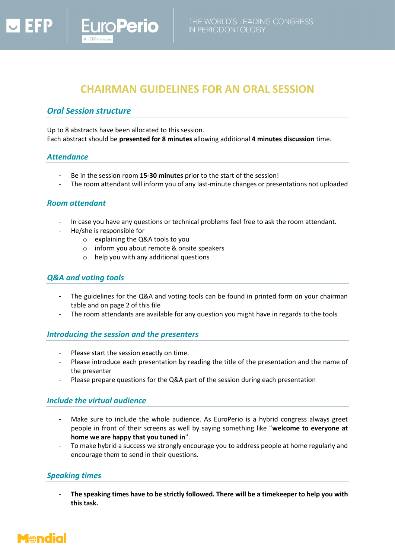# **CHAIRMAN GUIDELINES FOR AN ORAL SESSION**

# *Oral Session structure*

Up to 8 abstracts have been allocated to this session. Each abstract should be **presented for 8 minutes** allowing additional **4 minutes discussion** time.

### *Attendance*

- Be in the session room **15-30 minutes** prior to the start of the session!
- The room attendant will inform you of any last-minute changes or presentations not uploaded

#### *Room attendant*

- In case you have any questions or technical problems feel free to ask the room attendant.
- He/she is responsible for
	- o explaining the Q&A tools to you

**oPerio** 

- o inform you about remote & onsite speakers
- o help you with any additional questions

## *Q&A and voting tools*

- The guidelines for the Q&A and voting tools can be found in printed form on your chairman table and on page 2 of this file
- The room attendants are available for any question you might have in regards to the tools

#### *Introducing the session and the presenters*

- Please start the session exactly on time.
- Please introduce each presentation by reading the title of the presentation and the name of the presenter
- Please prepare questions for the Q&A part of the session during each presentation

### *Include the virtual audience*

- Make sure to include the whole audience. As EuroPerio is a hybrid congress always greet people in front of their screens as well by saying something like "**welcome to everyone at home we are happy that you tuned in**".
- To make hybrid a success we strongly encourage you to address people at home regularly and encourage them to send in their questions.

### *Speaking times*

- **The speaking times have to be strictly followed. There will be a timekeeper to help you with this task.**